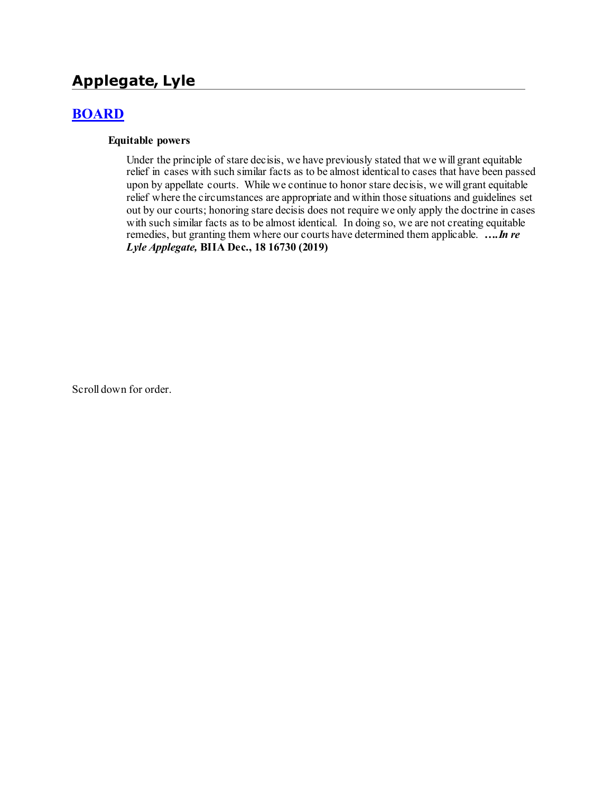# **Applegate, Lyle**

## **[BOARD](http://www.biia.wa.gov/SDSubjectIndex.html#BOARD)**

#### **Equitable powers**

Under the principle of stare decisis, we have previously stated that we will grant equitable relief in cases with such similar facts as to be almost identical to cases that have been passed upon by appellate courts. While we continue to honor stare decisis, we will grant equitable relief where the circumstances are appropriate and within those situations and guidelines set out by our courts; honoring stare decisis does not require we only apply the doctrine in cases with such similar facts as to be almost identical. In doing so, we are not creating equitable remedies, but granting them where our courts have determined them applicable. *….In re Lyle Applegate,* **BIIA Dec., 18 16730 (2019)**

Scroll down for order.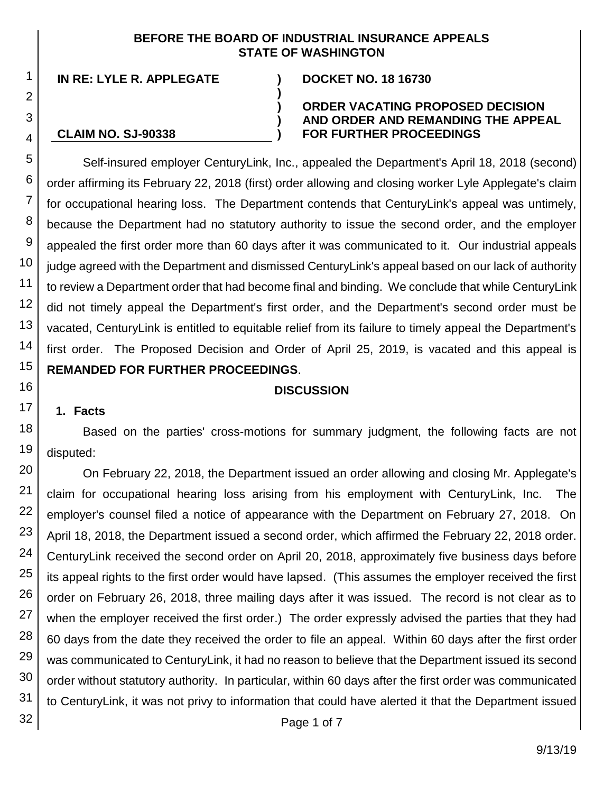#### **BEFORE THE BOARD OF INDUSTRIAL INSURANCE APPEALS STATE OF WASHINGTON**

**)**

**) ) )**

**IN RE: LYLE R. APPLEGATE ) DOCKET NO. 18 16730**

**CLAIM NO. SJ-90338**

#### **ORDER VACATING PROPOSED DECISION AND ORDER AND REMANDING THE APPEAL FOR FURTHER PROCEEDINGS**

Self-insured employer CenturyLink, Inc., appealed the Department's April 18, 2018 (second) order affirming its February 22, 2018 (first) order allowing and closing worker Lyle Applegate's claim for occupational hearing loss. The Department contends that CenturyLink's appeal was untimely, because the Department had no statutory authority to issue the second order, and the employer appealed the first order more than 60 days after it was communicated to it. Our industrial appeals judge agreed with the Department and dismissed CenturyLink's appeal based on our lack of authority to review a Department order that had become final and binding. We conclude that while CenturyLink did not timely appeal the Department's first order, and the Department's second order must be vacated, CenturyLink is entitled to equitable relief from its failure to timely appeal the Department's first order. The Proposed Decision and Order of April 25, 2019, is vacated and this appeal is **REMANDED FOR FURTHER PROCEEDINGS**.

#### **DISCUSSION**

#### **1. Facts**

Based on the parties' cross-motions for summary judgment, the following facts are not disputed:

30 31 On February 22, 2018, the Department issued an order allowing and closing Mr. Applegate's claim for occupational hearing loss arising from his employment with CenturyLink, Inc. The employer's counsel filed a notice of appearance with the Department on February 27, 2018. On April 18, 2018, the Department issued a second order, which affirmed the February 22, 2018 order. CenturyLink received the second order on April 20, 2018, approximately five business days before its appeal rights to the first order would have lapsed. (This assumes the employer received the first order on February 26, 2018, three mailing days after it was issued. The record is not clear as to when the employer received the first order.) The order expressly advised the parties that they had 60 days from the date they received the order to file an appeal. Within 60 days after the first order was communicated to CenturyLink, it had no reason to believe that the Department issued its second order without statutory authority. In particular, within 60 days after the first order was communicated to CenturyLink, it was not privy to information that could have alerted it that the Department issued

32

1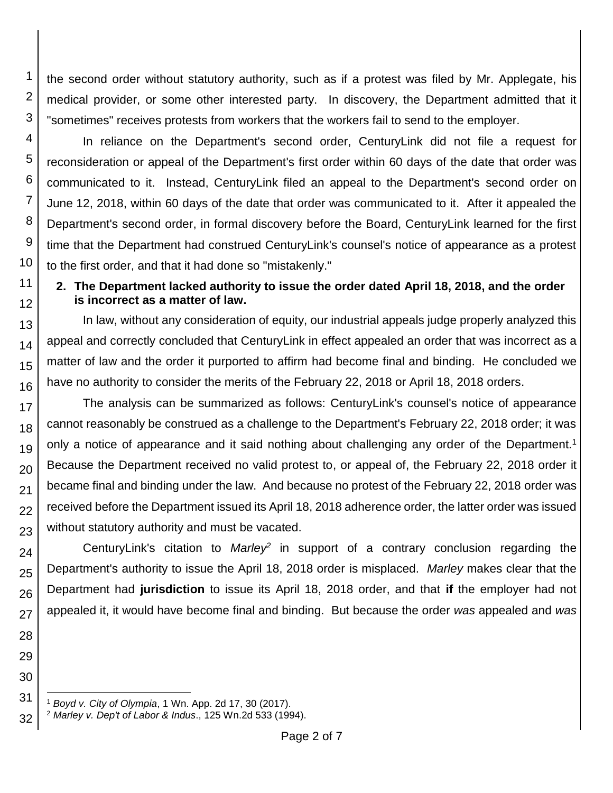the second order without statutory authority, such as if a protest was filed by Mr. Applegate, his medical provider, or some other interested party. In discovery, the Department admitted that it "sometimes" receives protests from workers that the workers fail to send to the employer.

4 In reliance on the Department's second order, CenturyLink did not file a request for reconsideration or appeal of the Department's first order within 60 days of the date that order was communicated to it. Instead, CenturyLink filed an appeal to the Department's second order on June 12, 2018, within 60 days of the date that order was communicated to it. After it appealed the Department's second order, in formal discovery before the Board, CenturyLink learned for the first time that the Department had construed CenturyLink's counsel's notice of appearance as a protest to the first order, and that it had done so "mistakenly."

## **2. The Department lacked authority to issue the order dated April 18, 2018, and the order is incorrect as a matter of law.**

13 14 15 16 In law, without any consideration of equity, our industrial appeals judge properly analyzed this appeal and correctly concluded that CenturyLink in effect appealed an order that was incorrect as a matter of law and the order it purported to affirm had become final and binding. He concluded we have no authority to consider the merits of the February 22, 2018 or April 18, 2018 orders.

17 18 19 20 21 22 23 The analysis can be summarized as follows: CenturyLink's counsel's notice of appearance cannot reasonably be construed as a challenge to the Department's February 22, 2018 order; it was only a notice of appearance and it said nothing about challenging any order of the Department.<sup>1</sup> Because the Department received no valid protest to, or appeal of, the February 22, 2018 order it became final and binding under the law. And because no protest of the February 22, 2018 order was received before the Department issued its April 18, 2018 adherence order, the latter order was issued without statutory authority and must be vacated.

24 25 26 27 CenturyLink's citation to *Marley<sup>2</sup>* in support of a contrary conclusion regarding the Department's authority to issue the April 18, 2018 order is misplaced. *Marley* makes clear that the Department had **jurisdiction** to issue its April 18, 2018 order, and that **if** the employer had not appealed it, it would have become final and binding. But because the order *was* appealed and *was*

31 l <sup>1</sup> *Boyd v. City of Olympia*, 1 Wn. App. 2d 17, 30 (2017).

1

2

3

5

6 7

8

9

10

11

12

28 29

<sup>32</sup> <sup>2</sup> *Marley v. Dep't of Labor & Indus*., 125 Wn.2d 533 (1994).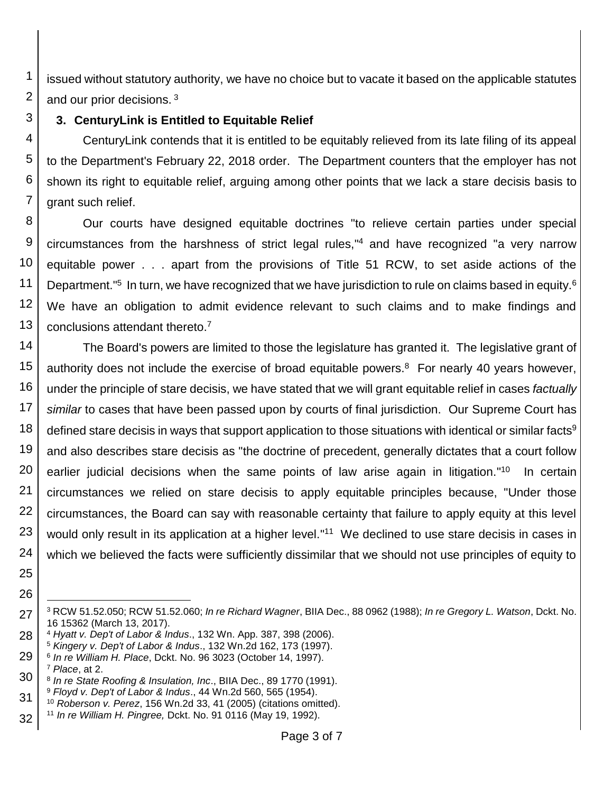issued without statutory authority, we have no choice but to vacate it based on the applicable statutes and our prior decisions.<sup>3</sup>

## **3. CenturyLink is Entitled to Equitable Relief**

CenturyLink contends that it is entitled to be equitably relieved from its late filing of its appeal to the Department's February 22, 2018 order. The Department counters that the employer has not shown its right to equitable relief, arguing among other points that we lack a stare decisis basis to grant such relief.

 Our courts have designed equitable doctrines "to relieve certain parties under special circumstances from the harshness of strict legal rules," <sup>4</sup> and have recognized "a very narrow equitable power . . . apart from the provisions of Title 51 RCW, to set aside actions of the Department."<sup>5</sup> In turn, we have recognized that we have jurisdiction to rule on claims based in equity.<sup>6</sup> We have an obligation to admit evidence relevant to such claims and to make findings and conclusions attendant thereto.<sup>7</sup>

 The Board's powers are limited to those the legislature has granted it. The legislative grant of authority does not include the exercise of broad equitable powers. <sup>8</sup> For nearly 40 years however, under the principle of stare decisis, we have stated that we will grant equitable relief in cases *factually similar* to cases that have been passed upon by courts of final jurisdiction. Our Supreme Court has defined stare decisis in ways that support application to those situations with identical or similar facts<sup>9</sup> and also describes stare decisis as "the doctrine of precedent, generally dictates that a court follow earlier judicial decisions when the same points of law arise again in litigation."<sup>10</sup> In certain circumstances we relied on stare decisis to apply equitable principles because, "Under those circumstances, the Board can say with reasonable certainty that failure to apply equity at this level would only result in its application at a higher level."<sup>11</sup> We declined to use stare decisis in cases in which we believed the facts were sufficiently dissimilar that we should not use principles of equity to

 

 

 l RCW 51.52.050; RCW 51.52.060; *In re Richard Wagner*, BIIA Dec., 88 0962 (1988); *In re Gregory L. Watson*, Dckt. No. 16 15362 (March 13, 2017).

 *Hyatt v. Dep't of Labor & Indus*., 132 Wn. App. 387, 398 (2006).

*Kingery v. Dep't of Labor & Indus*., 132 Wn.2d 162, 173 (1997).

 *In re William H. Place*, Dckt. No. 96 3023 (October 14, 1997).

*Place*, at 2.

 *In re State Roofing & Insulation, Inc*., BIIA Dec., 89 1770 (1991). *Floyd v. Dep't of Labor & Indus*., 44 Wn.2d 560, 565 (1954).

 *Roberson v. Perez*, 156 Wn.2d 33, 41 (2005) (citations omitted).

 *In re William H. Pingree,* Dckt. No. 91 0116 (May 19, 1992).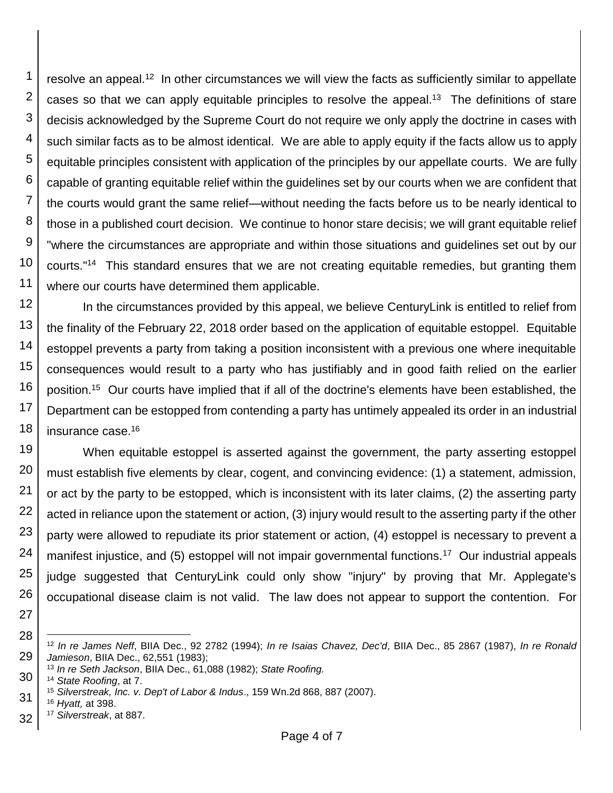1 2 3 4 5 6 7 8 9 10 11 resolve an appeal.<sup>12</sup> In other circumstances we will view the facts as sufficiently similar to appellate cases so that we can apply equitable principles to resolve the appeal.<sup>13</sup> The definitions of stare decisis acknowledged by the Supreme Court do not require we only apply the doctrine in cases with such similar facts as to be almost identical. We are able to apply equity if the facts allow us to apply equitable principles consistent with application of the principles by our appellate courts. We are fully capable of granting equitable relief within the guidelines set by our courts when we are confident that the courts would grant the same relief—without needing the facts before us to be nearly identical to those in a published court decision. We continue to honor stare decisis; we will grant equitable relief "where the circumstances are appropriate and within those situations and guidelines set out by our courts." <sup>14</sup> This standard ensures that we are not creating equitable remedies, but granting them where our courts have determined them applicable.

12 13 14 15 16 17 18 In the circumstances provided by this appeal, we believe CenturyLink is entitled to relief from the finality of the February 22, 2018 order based on the application of equitable estoppel. Equitable estoppel prevents a party from taking a position inconsistent with a previous one where inequitable consequences would result to a party who has justifiably and in good faith relied on the earlier position.<sup>15</sup> Our courts have implied that if all of the doctrine's elements have been established, the Department can be estopped from contending a party has untimely appealed its order in an industrial insurance case.<sup>16</sup>

19 20 21 22 23 24 25 26 When equitable estoppel is asserted against the government, the party asserting estoppel must establish five elements by clear, cogent, and convincing evidence: (1) a statement, admission, or act by the party to be estopped, which is inconsistent with its later claims, (2) the asserting party acted in reliance upon the statement or action, (3) injury would result to the asserting party if the other party were allowed to repudiate its prior statement or action, (4) estoppel is necessary to prevent a manifest injustice, and (5) estoppel will not impair governmental functions.<sup>17</sup> Our industrial appeals judge suggested that CenturyLink could only show "injury" by proving that Mr. Applegate's occupational disease claim is not valid. The law does not appear to support the contention. For

27

32 <sup>17</sup> *Silverstreak*, at 887.

<sup>28</sup> 29 l <sup>12</sup> *In re James Neff*, BIIA Dec., 92 2782 (1994); *In re Isaias Chavez, Dec'd*, BIIA Dec., 85 2867 (1987), *In re Ronald Jamieson*, BIIA Dec., 62,551 (1983);

<sup>13</sup> *In re Seth Jackson*, BIIA Dec., 61,088 (1982); *State Roofing.*

<sup>30</sup> <sup>14</sup> *State Roofing*, at 7.

<sup>31</sup> <sup>15</sup> *Silverstreak, Inc. v. Dep't of Labor & Indus*., 159 Wn.2d 868, 887 (2007).

<sup>16</sup> *Hyatt,* at 398.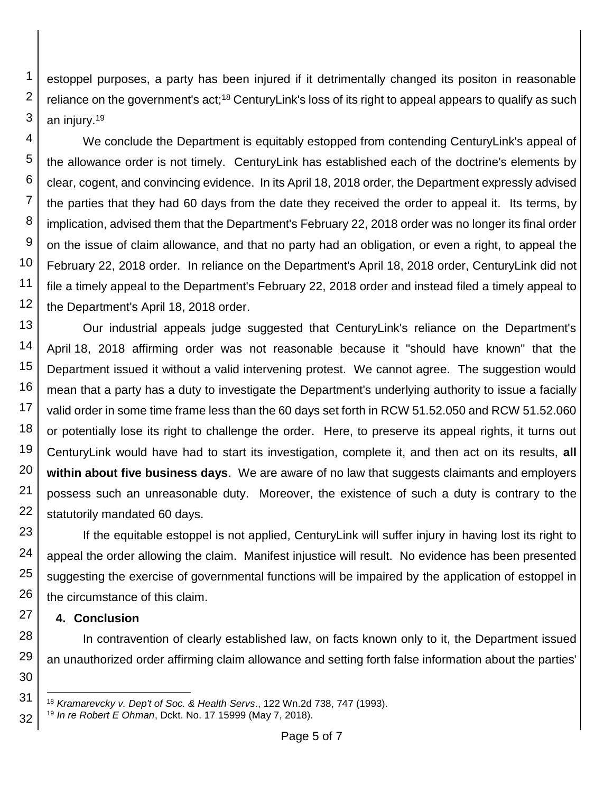1 2 3 estoppel purposes, a party has been injured if it detrimentally changed its positon in reasonable reliance on the government's act;<sup>18</sup> CenturyLink's loss of its right to appeal appears to qualify as such an injury.<sup>19</sup>

4 5 6 7 8 9 10 11 12 We conclude the Department is equitably estopped from contending CenturyLink's appeal of the allowance order is not timely. CenturyLink has established each of the doctrine's elements by clear, cogent, and convincing evidence. In its April 18, 2018 order, the Department expressly advised the parties that they had 60 days from the date they received the order to appeal it. Its terms, by implication, advised them that the Department's February 22, 2018 order was no longer its final order on the issue of claim allowance, and that no party had an obligation, or even a right, to appeal the February 22, 2018 order. In reliance on the Department's April 18, 2018 order, CenturyLink did not file a timely appeal to the Department's February 22, 2018 order and instead filed a timely appeal to the Department's April 18, 2018 order.

13 14 15 16 17 18 19 20 21 22 Our industrial appeals judge suggested that CenturyLink's reliance on the Department's April 18, 2018 affirming order was not reasonable because it "should have known" that the Department issued it without a valid intervening protest. We cannot agree. The suggestion would mean that a party has a duty to investigate the Department's underlying authority to issue a facially valid order in some time frame less than the 60 days set forth in RCW 51.52.050 and RCW 51.52.060 or potentially lose its right to challenge the order. Here, to preserve its appeal rights, it turns out CenturyLink would have had to start its investigation, complete it, and then act on its results, **all within about five business days**. We are aware of no law that suggests claimants and employers possess such an unreasonable duty. Moreover, the existence of such a duty is contrary to the statutorily mandated 60 days.

23 24 25 26 If the equitable estoppel is not applied, CenturyLink will suffer injury in having lost its right to appeal the order allowing the claim. Manifest injustice will result. No evidence has been presented suggesting the exercise of governmental functions will be impaired by the application of estoppel in the circumstance of this claim.

## **4. Conclusion**

27

30

31

l

32

28 29 In contravention of clearly established law, on facts known only to it, the Department issued an unauthorized order affirming claim allowance and setting forth false information about the parties'

<sup>18</sup> *Kramarevcky v. Dep't of Soc. & Health Servs*., 122 Wn.2d 738, 747 (1993).

<sup>19</sup> *In re Robert E Ohman*, Dckt. No. 17 15999 (May 7, 2018).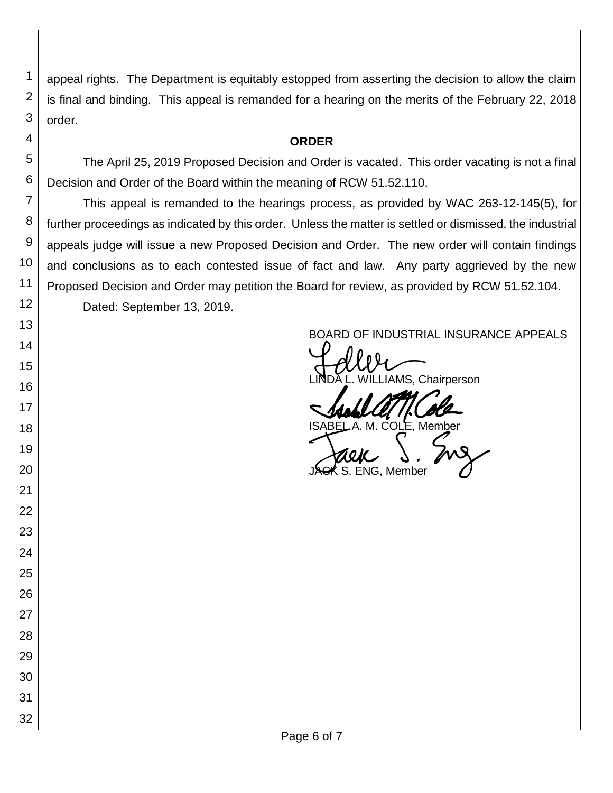appeal rights. The Department is equitably estopped from asserting the decision to allow the claim is final and binding. This appeal is remanded for a hearing on the merits of the February 22, 2018 order.

### **ORDER**

The April 25, 2019 Proposed Decision and Order is vacated. This order vacating is not a final Decision and Order of the Board within the meaning of RCW 51.52.110.

This appeal is remanded to the hearings process, as provided by WAC 263-12-145(5), for further proceedings as indicated by this order. Unless the matter is settled or dismissed, the industrial appeals judge will issue a new Proposed Decision and Order. The new order will contain findings and conclusions as to each contested issue of fact and law. Any party aggrieved by the new Proposed Decision and Order may petition the Board for review, as provided by RCW 51.52.104. Dated: September 13, 2019.

BOARD OF INDUSTRIAL INSURANCE APPEALS<br>
UNIXUS Christopher AMS, Chairperson

SADAL ATTICOLE

S. ENG. Member